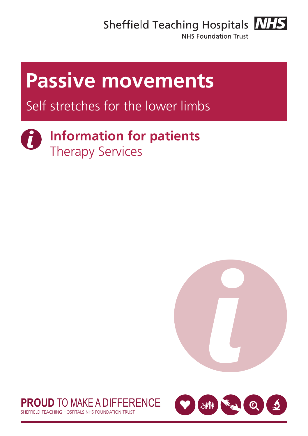Sheffield Teaching Hospitals **NHS** 



NHS Foundation Trust

# **Passive movements**

## Self stretches for the lower limbs

#### **Information for patients**  $\mathbf{i}$ Therapy Services





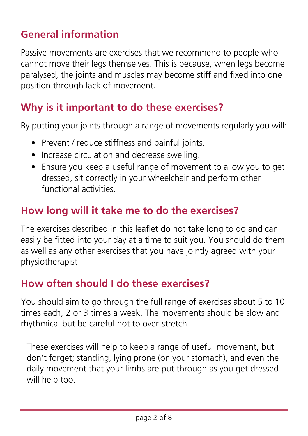## **General information**

Passive movements are exercises that we recommend to people who cannot move their legs themselves. This is because, when legs become paralysed, the joints and muscles may become stiff and fixed into one position through lack of movement.

## **Why is it important to do these exercises?**

By putting your joints through a range of movements regularly you will:

- Prevent / reduce stiffness and painful joints.
- Increase circulation and decrease swelling.
- Ensure you keep a useful range of movement to allow you to get dressed, sit correctly in your wheelchair and perform other functional activities.

## **How long will it take me to do the exercises?**

The exercises described in this leaflet do not take long to do and can easily be fitted into your day at a time to suit you. You should do them as well as any other exercises that you have jointly agreed with your physiotherapist

## **How often should I do these exercises?**

You should aim to go through the full range of exercises about 5 to 10 times each, 2 or 3 times a week. The movements should be slow and rhythmical but be careful not to over-stretch.

These exercises will help to keep a range of useful movement, but don't forget; standing, lying prone (on your stomach), and even the daily movement that your limbs are put through as you get dressed will help too.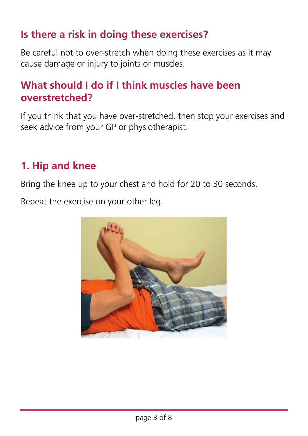## **Is there a risk in doing these exercises?**

Be careful not to over-stretch when doing these exercises as it may cause damage or injury to joints or muscles.

## **What should I do if I think muscles have been overstretched?**

If you think that you have over-stretched, then stop your exercises and seek advice from your GP or physiotherapist.

### **1. Hip and knee**

Bring the knee up to your chest and hold for 20 to 30 seconds.

Repeat the exercise on your other leg.

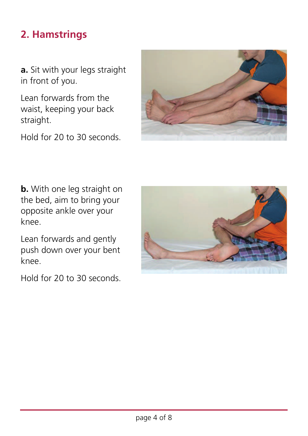## **2. Hamstrings**

**a.** Sit with your legs straight in front of you.

Lean forwards from the waist, keeping your back straight.

Hold for 20 to 30 seconds.



**b.** With one leg straight on the bed, aim to bring your opposite ankle over your knee.

Lean forwards and gently push down over your bent knee.

Hold for 20 to 30 seconds.

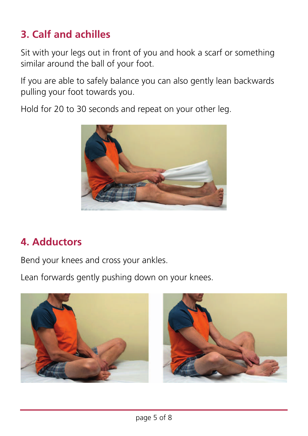## **3. Calf and achilles**

Sit with your legs out in front of you and hook a scarf or something similar around the ball of your foot.

If you are able to safely balance you can also gently lean backwards pulling your foot towards you.

Hold for 20 to 30 seconds and repeat on your other leg.



## **4. Adductors**

Bend your knees and cross your ankles.

Lean forwards gently pushing down on your knees.

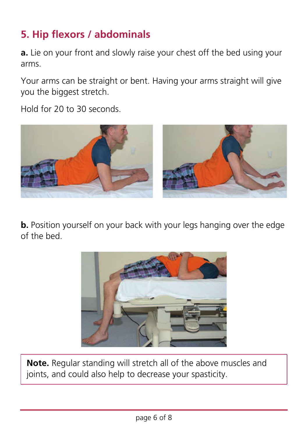## **5. Hip flexors / abdominals**

**a.** Lie on your front and slowly raise your chest off the bed using your arms.

Your arms can be straight or bent. Having your arms straight will give you the biggest stretch.

Hold for 20 to 30 seconds.



**b.** Position yourself on your back with your legs hanging over the edge of the bed.



**Note.** Regular standing will stretch all of the above muscles and joints, and could also help to decrease your spasticity.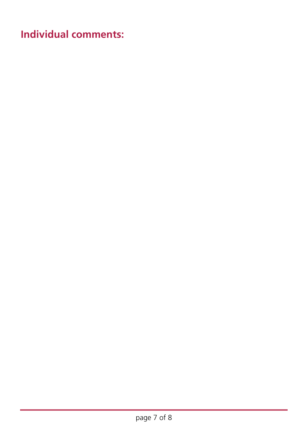**Individual comments:**